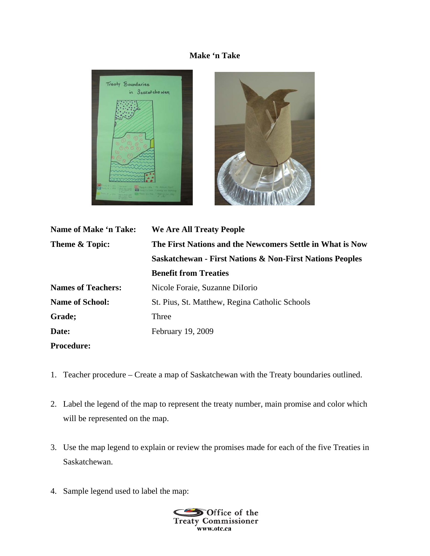## **Make 'n Take**





| Name of Make 'n Take:     | We Are All Treaty People                                            |
|---------------------------|---------------------------------------------------------------------|
| Theme & Topic:            | The First Nations and the Newcomers Settle in What is Now           |
|                           | <b>Saskatchewan - First Nations &amp; Non-First Nations Peoples</b> |
|                           | <b>Benefit from Treaties</b>                                        |
| <b>Names of Teachers:</b> | Nicole Foraie, Suzanne DiIorio                                      |
| <b>Name of School:</b>    | St. Pius, St. Matthew, Regina Catholic Schools                      |
| Grade;                    | Three                                                               |
| Date:                     | February 19, 2009                                                   |
| <b>Procedure:</b>         |                                                                     |

- 1. Teacher procedure Create a map of Saskatchewan with the Treaty boundaries outlined.
- 2. Label the legend of the map to represent the treaty number, main promise and color which will be represented on the map.
- 3. Use the map legend to explain or review the promises made for each of the five Treaties in Saskatchewan.
- 4. Sample legend used to label the map: